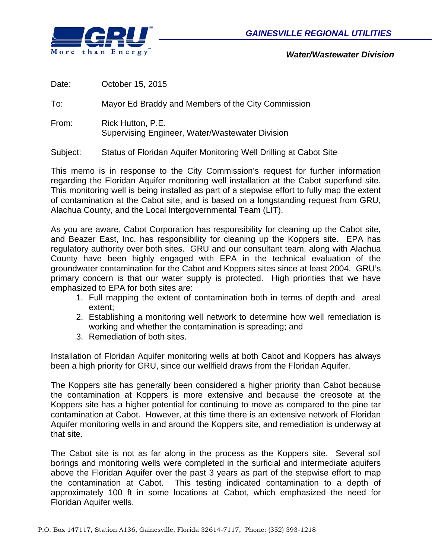

*Water/Wastewater Division* 

| Date:    | October 15, 2015                                                     |
|----------|----------------------------------------------------------------------|
| To:      | Mayor Ed Braddy and Members of the City Commission                   |
| From:    | Rick Hutton, P.E.<br>Supervising Engineer, Water/Wastewater Division |
| Subject: | Status of Floridan Aquifer Monitoring Well Drilling at Cabot Site    |

This memo is in response to the City Commission's request for further information regarding the Floridan Aquifer monitoring well installation at the Cabot superfund site. This monitoring well is being installed as part of a stepwise effort to fully map the extent of contamination at the Cabot site, and is based on a longstanding request from GRU, Alachua County, and the Local Intergovernmental Team (LIT).

As you are aware, Cabot Corporation has responsibility for cleaning up the Cabot site, and Beazer East, Inc. has responsibility for cleaning up the Koppers site. EPA has regulatory authority over both sites. GRU and our consultant team, along with Alachua County have been highly engaged with EPA in the technical evaluation of the groundwater contamination for the Cabot and Koppers sites since at least 2004. GRU's primary concern is that our water supply is protected. High priorities that we have emphasized to EPA for both sites are:

- 1. Full mapping the extent of contamination both in terms of depth and areal extent;
- 2. Establishing a monitoring well network to determine how well remediation is working and whether the contamination is spreading; and
- 3. Remediation of both sites.

Installation of Floridan Aquifer monitoring wells at both Cabot and Koppers has always been a high priority for GRU, since our wellfield draws from the Floridan Aquifer.

The Koppers site has generally been considered a higher priority than Cabot because the contamination at Koppers is more extensive and because the creosote at the Koppers site has a higher potential for continuing to move as compared to the pine tar contamination at Cabot. However, at this time there is an extensive network of Floridan Aquifer monitoring wells in and around the Koppers site, and remediation is underway at that site.

The Cabot site is not as far along in the process as the Koppers site. Several soil borings and monitoring wells were completed in the surficial and intermediate aquifers above the Floridan Aquifer over the past 3 years as part of the stepwise effort to map the contamination at Cabot. This testing indicated contamination to a depth of approximately 100 ft in some locations at Cabot, which emphasized the need for Floridan Aquifer wells.